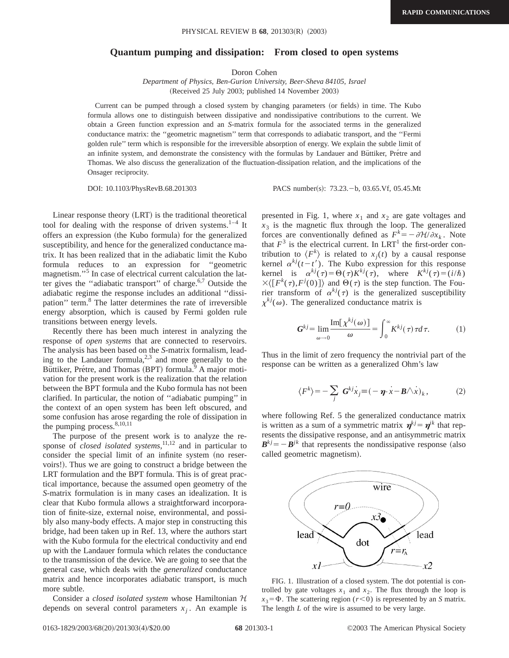## **Quantum pumping and dissipation: From closed to open systems**

Doron Cohen

*Department of Physics, Ben-Gurion University, Beer-Sheva 84105, Israel* (Received 25 July 2003; published 14 November 2003)

Current can be pumped through a closed system by changing parameters (or fields) in time. The Kubo formula allows one to distinguish between dissipative and nondissipative contributions to the current. We obtain a Green function expression and an *S*-matrix formula for the associated terms in the generalized conductance matrix: the ''geometric magnetism'' term that corresponds to adiabatic transport, and the ''Fermi golden rule'' term which is responsible for the irreversible absorption of energy. We explain the subtle limit of an infinite system, and demonstrate the consistency with the formulas by Landauer and Büttiker, Pretre and Thomas. We also discuss the generalization of the fluctuation-dissipation relation, and the implications of the Onsager reciprocity.

DOI: 10.1103/PhysRevB.68.201303 PACS number(s): 73.23. - b, 03.65.Vf, 05.45.Mt

Linear response theory  $(LRT)$  is the traditional theoretical tool for dealing with the response of driven systems.<sup>1-4</sup> It offers an expression (the Kubo formula) for the generalized susceptibility, and hence for the generalized conductance matrix. It has been realized that in the adiabatic limit the Kubo formula reduces to an expression for ''geometric magnetism."<sup>5</sup> In case of electrical current calculation the latter gives the "adiabatic transport" of charge. $6,7$  Outside the adiabatic regime the response includes an additional ''dissipation'' term.8 The latter determines the rate of irreversible energy absorption, which is caused by Fermi golden rule transitions between energy levels.

Recently there has been much interest in analyzing the response of *open systems* that are connected to reservoirs. The analysis has been based on the *S*-matrix formalism, leading to the Landauer formula, $2,3$  and more generally to the Büttiker, Prétre, and Thomas (BPT) formula.<sup>9</sup> A major motivation for the present work is the realization that the relation between the BPT formula and the Kubo formula has not been clarified. In particular, the notion of ''adiabatic pumping'' in the context of an open system has been left obscured, and some confusion has arose regarding the role of dissipation in the pumping process. $8,10,11$ 

The purpose of the present work is to analyze the response of *closed isolated systems*,<sup>11,12</sup> and in particular to consider the special limit of an infinite system (no reservoirs!!. Thus we are going to construct a bridge between the LRT formulation and the BPT formula. This is of great practical importance, because the assumed open geometry of the *S*-matrix formulation is in many cases an idealization. It is clear that Kubo formula allows a straightforward incorporation of finite-size, external noise, environmental, and possibly also many-body effects. A major step in constructing this bridge, had been taken up in Ref. 13, where the authors start with the Kubo formula for the electrical conductivity and end up with the Landauer formula which relates the conductance to the transmission of the device. We are going to see that the general case, which deals with the *generalized* conductance matrix and hence incorporates adiabatic transport, is much more subtle.

Consider a *closed isolated system* whose Hamiltonian H depends on several control parameters  $x_i$ . An example is

presented in Fig. 1, where  $x_1$  and  $x_2$  are gate voltages and  $x_3$  is the magnetic flux through the loop. The generalized forces are conventionally defined as  $F^k = -\frac{\partial \mathcal{H}}{\partial x_k}$ . Note that  $F<sup>3</sup>$  is the electrical current. In LRT<sup>1</sup> the first-order contribution to  $\langle F^k \rangle$  is related to  $x_j(t)$  by a causal response kernel  $\alpha^{kj}(t-t')$ . The Kubo expression for this response kernel is  $\alpha^{kj}(\tau) = \Theta(\tau) K^{kj}(\tau)$ , where  $K^{kj}(\tau) = (i/\hbar)$  $\times \langle [F^k(\tau), F^j(0)] \rangle$  and  $\Theta(\tau)$  is the step function. The Fourier transform of  $\alpha^{kj}(\tau)$  is the generalized susceptibility  $\chi^{kj}(\omega)$ . The generalized conductance matrix is

$$
G^{kj} = \lim_{\omega \to 0} \frac{\text{Im}[\chi^{kj}(\omega)]}{\omega} = \int_0^\infty K^{kj}(\tau) \tau d\tau.
$$
 (1)

Thus in the limit of zero frequency the nontrivial part of the response can be written as a generalized Ohm's law

$$
\langle F^k \rangle = -\sum_j \mathbf{G}^{kj} \dot{x}_j \equiv (-\mathbf{\eta} \cdot \dot{x} - \mathbf{B} \wedge \dot{x})_k, \tag{2}
$$

where following Ref. 5 the generalized conductance matrix is written as a sum of a symmetric matrix  $\mathbf{\eta}^{kj} = \mathbf{\eta}^{jk}$  that represents the dissipative response, and an antisymmetric matrix  $B^{kj} = -B^{jk}$  that represents the nondissipative response (also called geometric magnetism).



FIG. 1. Illustration of a closed system. The dot potential is controlled by gate voltages  $x_1$  and  $x_2$ . The flux through the loop is  $x_3 = \Phi$ . The scattering region ( $r < 0$ ) is represented by an *S* matrix. The length *L* of the wire is assumed to be very large.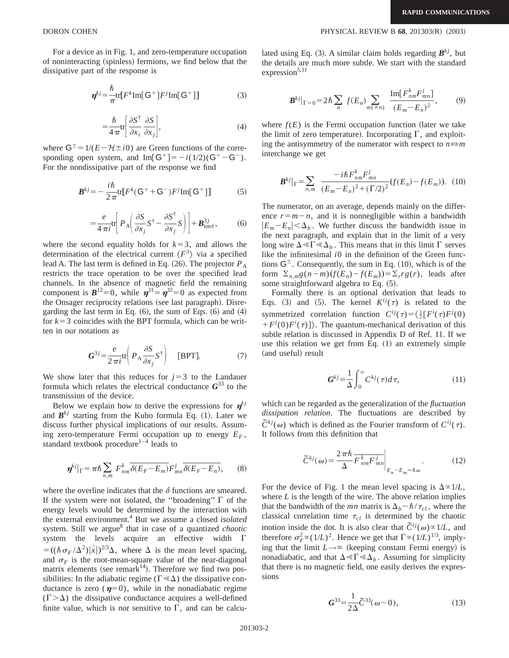**DORON COHEN PHYSICAL REVIEW B 68**, 201303(R) (2003)

For a device as in Fig. 1, and zero-temperature occupation of noninteracting (spinless) fermions, we find below that the dissipative part of the response is

$$
\boldsymbol{\eta}^{kj} = \frac{\hbar}{\pi} \text{tr} [F^k \text{Im}[\mathbf{G}^+] F^j \text{Im}[\mathbf{G}^+]] \tag{3}
$$

$$
= \frac{\hbar}{4\pi} \text{tr} \bigg[ \frac{\partial S^{\dagger}}{\partial x_i} \frac{\partial S}{\partial x_j} \bigg],\tag{4}
$$

where  $G^{\pm} = 1/(E - \mathcal{H} \pm i0)$  are Green functions of the corresponding open system, and Im $\lceil G^+ \rceil = -i(1/2)(G^+ - G^-)$ . For the nondissipative part of the response we find

$$
\mathbf{B}^{kj} = -\frac{i\hbar}{2\pi} \text{tr} \left[ F^k (\mathsf{G}^+ + \mathsf{G}^-) F^j \text{Im}[\mathsf{G}^+] \right] \tag{5}
$$

$$
= \frac{e}{4\pi i} \text{tr} \left[ P_{\text{A}} \left( \frac{\partial S}{\partial x_j} S^{\dagger} - \frac{\partial S^{\dagger}}{\partial x_j} S \right) \right] + \boldsymbol{B}_{\text{intrf}}^{3j}, \tag{6}
$$

where the second equality holds for  $k=3$ , and allows the determination of the electrical current  $\langle F^3 \rangle$  via a specified lead A. The last term is defined in Eq.  $(26)$ . The projector  $P_A$ restricts the trace operation to be over the specified lead channels. In the absence of magnetic field the remaining component is  $B^{12}=0$ , while  $\eta^{31}=\eta^{32}=0$  as expected from the Onsager reciprocity relations (see last paragraph). Disregarding the last term in Eq.  $(6)$ , the sum of Eqs.  $(6)$  and  $(4)$ for  $k=3$  coincides with the BPT formula, which can be written in our notations as

$$
G^{3j} = \frac{e}{2\pi i} \text{tr} \left( P_{\mathbf{A}} \frac{\partial S}{\partial x_j} S^{\dagger} \right) \quad \text{[BPT]}.
$$
 (7)

We show later that this reduces for  $j=3$  to the Landauer formula which relates the electrical conductance  $G^{33}$  to the transmission of the device.

Below we explain how to derive the expressions for  $\eta^{kj}$ and  $B^{kj}$  starting from the Kubo formula Eq. (1). Later we discuss further physical implications of our results. Assuming zero-temperature Fermi occupation up to energy  $E_F$ , standard textbook procedure $1-4$  leads to

$$
\boldsymbol{\eta}^{kj}|_{\Gamma} = \pi \hbar \sum_{n,m} F_{nm}^k \overline{\delta(E_F - E_m)} F_{mn}^j \overline{\delta(E_F - E_n)}, \qquad (8)
$$

where the overline indicates that the  $\delta$  functions are smeared. If the system were not isolated, the "broadening"  $\Gamma$  of the energy levels would be determined by the interaction with the external environment.4 But we assume a closed *isolated* system. Still we argue<sup>8</sup> that in case of a quantized *chaotic* system the levels acquire an effective width  $\Gamma$  $= ((\hbar \sigma_F / \Delta^2)|\dot{x}|)^{2/3}\Delta$ , where  $\Delta$  is the mean level spacing, and  $\sigma_F$  is the root-mean-square value of the near-diagonal matrix elements (see remark<sup>14</sup>). Therefore we find two possibilities: In the adiabatic regime ( $\Gamma \ll \Delta$ ) the dissipative conductance is zero ( $\eta=0$ ), while in the nonadiabatic regime  $(\Gamma > \Delta)$  the dissipative conductance acquires a well-defined finite value, which is *not* sensitive to  $\Gamma$ , and can be calculated using Eq. (3). A similar claim holds regarding  $B^{kj}$ , but the details are much more subtle. We start with the standard  $expression<sup>5,11</sup>$ 

$$
\boldsymbol{B}^{kj}|_{\Gamma=0} = 2\hbar \sum_{n} f(E_{n}) \sum_{m(\neq n)} \frac{\text{Im}[F_{nm}^{k} F_{mn}^{j}]}{(E_{m} - E_{n})^{2}}, \qquad (9)
$$

where  $f(E)$  is the Fermi occupation function (later we take the limit of zero temperature). Incorporating  $\Gamma$ , and exploiting the antisymmetry of the numerator with respect to  $n \Leftrightarrow m$ interchange we get

$$
\mathbf{B}^{kj}|_{\Gamma} = \sum_{n,m} \frac{-i\hbar F_{nm}^k F_{mn}^j}{(E_m - E_n)^2 + (\Gamma/2)^2} (f(E_n) - f(E_m)). \tag{10}
$$

The numerator, on an average, depends mainly on the difference  $r=m-n$ , and it is nonnegligible within a bandwidth  $|E_m-E_n|<\Delta_b$ . We further discuss the bandwidth issue in the next paragraph, and explain that in the limit of a very long wire  $\Delta \ll \Gamma \ll \Delta_h$ . This means that in this limit  $\Gamma$  serves like the infinitesimal *i*0 in the definition of the Green functions  $G^{\pm}$ . Consequently, the sum in Eq. (10), which is of the form  $\Sigma_{n,m}g(n-m)(f(E_n)-f(E_m))=\Sigma_r rg(r)$ , leads after some straightforward algebra to Eq.  $(5)$ .

Formally there is an optional derivation that leads to Eqs. (3) and (5). The kernel  $K^{ij}(\tau)$  is related to the symmetrized correlation function  $C^{ij}(\tau) = \left(\frac{1}{2} \left[F^i(\tau) F^j(0)\right]\right)$  $+F^{j}(0)F^{i}(\tau)$ . The quantum-mechanical derivation of this subtle relation is discussed in Appendix D of Ref. 11. If we use this relation we get from Eq.  $(1)$  an extremely simple (and useful) result

$$
G^{kj} = \frac{1}{\Delta} \int_0^\infty C^{kj}(\tau) d\tau,
$$
\n(11)

which can be regarded as the generalization of the *fluctuation dissipation relation*. The fluctuations are described by  $\tilde{C}^{kj}(\omega)$  which is defined as the Fourier transform of  $C^{ij}(\tau)$ . It follows from this definition that

$$
\widetilde{C}^{kj}(\omega) = \frac{2\pi\hbar}{\Delta} \overline{F_{nm}^k F_{mn}^j} \bigg|_{E_n - E_m \approx \hbar \omega}.
$$
 (12)

For the device of Fig. 1 the mean level spacing is  $\Delta \propto 1/L$ , where  $L$  is the length of the wire. The above relation implies that the bandwidth of the *mn* matrix is  $\Delta_b \sim \hbar / \tau_{cl}$ , where the classical correlation time  $\tau_{cl}$  is determined by the chaotic motion inside the dot. It is also clear that  $\tilde{C}^{ij}(\omega) \propto 1/L$ , and therefore  $\sigma_F^2 \propto (1/L)^2$ . Hence we get that  $\Gamma \propto (1/L)^{1/3}$ , implying that the limit  $L \rightarrow \infty$  (keeping constant Fermi energy) is nonadiabatic, and that  $\Delta \ll \Gamma \ll \Delta_b$ . Assuming for simplicity that there is no magnetic field, one easily derives the expressions

$$
G^{33} = \frac{1}{2\Delta}\tilde{C}^{33}(\omega \sim 0),\tag{13}
$$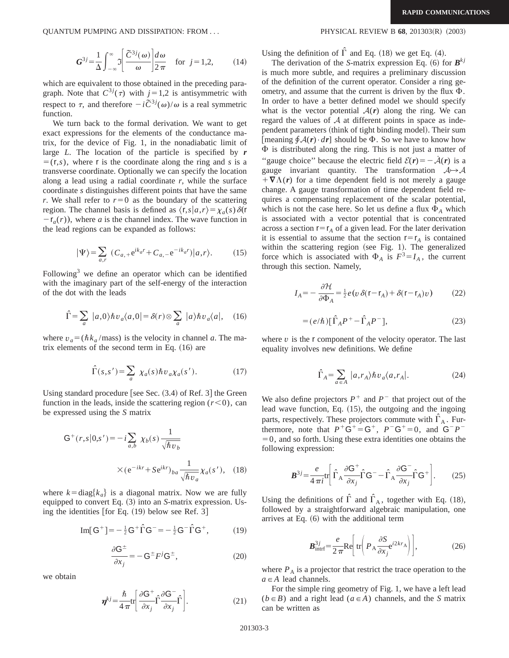QUANTUM PUMPING AND DISSIPATION: FROM . . . PHYSICAL REVIEW B **68**, 201303~R! ~2003!

$$
G^{3j} = \frac{1}{\Delta} \int_{-\infty}^{\infty} 2 \left[ \frac{\tilde{C}^{3j}(\omega)}{\omega} \right] \frac{d\omega}{2\pi} \quad \text{for } j = 1, 2,
$$
 (14)

which are equivalent to those obtained in the preceding paragraph. Note that  $C^{3j}(\tau)$  with  $j=1,2$  is antisymmetric with respect to  $\tau$ , and therefore  $-i\tilde{C}^{3j}(\omega)/\omega$  is a real symmetric function.

We turn back to the formal derivation. We want to get exact expressions for the elements of the conductance matrix, for the device of Fig. 1, in the nonadiabatic limit of large *L*. The location of the particle is specified by *r*  $=$  (r,*s*), where r is the coordinate along the ring and *s* is a transverse coordinate. Optionally we can specify the location along a lead using a radial coordinate *r*, while the surface coordinate *s* distinguishes different points that have the same *r*. We shall refer to  $r=0$  as the boundary of the scattering region. The channel basis is defined as  $\langle r,s|a,r\rangle = \chi_a(s)\delta(r)$  $-r_a(r)$ , where *a* is the channel index. The wave function in the lead regions can be expanded as follows:

$$
|\Psi\rangle = \sum_{a,r} (C_{a,+}e^{ik_a r} + C_{a,-}e^{-ik_a r})|a,r\rangle.
$$
 (15)

Following<sup>3</sup> we define an operator which can be identified with the imaginary part of the self-energy of the interaction of the dot with the leads

$$
\hat{\Gamma} = \sum_{a} |a,0\rangle \hbar v_{a} \langle a,0| = \delta(r) \otimes \sum_{a} |a\rangle \hbar v_{a} \langle a|, \quad (16)
$$

where  $v_a = (\hbar k_a / \text{mass})$  is the velocity in channel *a*. The matrix elements of the second term in Eq.  $(16)$  are

$$
\hat{\Gamma}(s,s') = \sum_{a} \chi_a(s) \hbar v_a \chi_a(s'). \tag{17}
$$

Using standard procedure [see Sec.  $(3.4)$  of Ref. 3] the Green function in the leads, inside the scattering region  $(r<0)$ , can be expressed using the *S* matrix

$$
G^{+}(r,s|0,s') = -i \sum_{a,b} \chi_b(s) \frac{1}{\sqrt{\hbar v_b}}
$$

$$
\times (e^{-ikr} + Se^{ikr})_{ba} \frac{1}{\sqrt{\hbar v_a}} \chi_a(s'), \quad (18)
$$

where  $k = \text{diag}\{k_a\}$  is a diagonal matrix. Now we are fully equipped to convert Eq. (3) into an *S*-matrix expression. Using the identities  $[for Eq. (19)$  below see Ref. 3 $]$ 

Im[G<sup>+</sup>]=
$$
-\frac{1}{2}
$$
G<sup>+</sup> $\hat{\Gamma}$ G<sup>-</sup>=- $\frac{1}{2}$ G<sup>-</sup> $\hat{\Gamma}$ G<sup>+</sup>, (19)

$$
\frac{\partial \mathsf{G}^{\pm}}{\partial x_j} = -\mathsf{G}^{\pm} F^j \mathsf{G}^{\pm},\tag{20}
$$

we obtain

$$
\boldsymbol{\eta}^{kj} = \frac{\hbar}{4\pi} \text{tr} \bigg[ \frac{\partial \mathsf{G}^+}{\partial x_j} \hat{\Gamma} \frac{\partial \mathsf{G}^-}{\partial x_j} \hat{\Gamma} \bigg]. \tag{21}
$$

Using the definition of  $\hat{\Gamma}$  and Eq. (18) we get Eq. (4).

The derivation of the *S*-matrix expression Eq. (6) for  $\mathbf{B}^{kj}$ is much more subtle, and requires a preliminary discussion of the definition of the current operator. Consider a ring geometry, and assume that the current is driven by the flux  $\Phi$ . In order to have a better defined model we should specify what is the vector potential  $A(r)$  along the ring. We can regard the values of  $A$  at different points in space as independent parameters (think of tight binding model). Their sum [meaning  $\oint \mathcal{A}(r) \cdot dr$ ] should be  $\Phi$ . So we have to know how  $\Phi$  is distributed along the ring. This is not just a matter of "gauge choice" because the electric field  $\mathcal{E}(r) = -\dot{\mathcal{A}}(r)$  is a gauge invariant quantity. The transformation  $A \rightarrow A$  $+\nabla \Lambda(r)$  for a time dependent field is not merely a gauge change. A gauge transformation of time dependent field requires a compensating replacement of the scalar potential, which is not the case here. So let us define a flux  $\Phi_A$  which is associated with a vector potential that is concentrated across a section  $r=r_A$  of a given lead. For the later derivation it is essential to assume that the section  $r=r_A$  is contained within the scattering region (see Fig. 1). The generalized force which is associated with  $\Phi_A$  is  $F^3 = I_A$ , the current through this section. Namely,

$$
I_A = -\frac{\partial \mathcal{H}}{\partial \Phi_A} = \frac{1}{2} e(v \,\delta(\mathbf{r} - \mathbf{r}_A) + \delta(\mathbf{r} - \mathbf{r}_A)v) \tag{22}
$$

$$
= (e/\hbar) \left[ \hat{\Gamma}_A P^+ - \hat{\Gamma}_A P^- \right], \tag{23}
$$

where  $\nu$  is the  $\mathbf r$  component of the velocity operator. The last equality involves new definitions. We define

$$
\hat{\Gamma}_A = \sum_{a \in A} |a, r_A \rangle \hbar v_a \langle a, r_A|.
$$
 (24)

We also define projectors  $P^+$  and  $P^-$  that project out of the lead wave function, Eq.  $(15)$ , the outgoing and the ingoing parts, respectively. These projectors commute with  $\hat{\Gamma}_A$ . Furthermore, note that  $P^+\overrightarrow{G}^+ = G^+$ ,  $P^-\overrightarrow{G}^+ = 0$ , and  $G^-P^ =0$ , and so forth. Using these extra identities one obtains the following expression:

$$
\boldsymbol{B}^{3j} = \frac{e}{4\pi i} \text{tr} \bigg[ \hat{\Gamma}_{A} \frac{\partial \mathsf{G}^{+}}{\partial x_{j}} \hat{\Gamma} \mathsf{G}^{-} - \hat{\Gamma}_{A} \frac{\partial \mathsf{G}^{-}}{\partial x_{j}} \hat{\Gamma} \mathsf{G}^{+} \bigg]. \tag{25}
$$

Using the definitions of  $\hat{\Gamma}$  and  $\hat{\Gamma}_A$ , together with Eq. (18), followed by a straightforward algebraic manipulation, one arrives at Eq.  $(6)$  with the additional term

$$
\mathbf{B}_{\text{intrf}}^{3j} = \frac{e}{2\pi} \text{Re} \bigg[ \text{tr} \bigg( P_{\text{A}} \frac{\partial S}{\partial x_j} e^{i2kr_{\text{A}}} \bigg) \bigg], \tag{26}
$$

where  $P_A$  is a projector that restrict the trace operation to the  $a \in A$  lead channels.

For the simple ring geometry of Fig. 1, we have a left lead  $(b \in B)$  and a right lead  $(a \in A)$  channels, and the *S* matrix can be written as